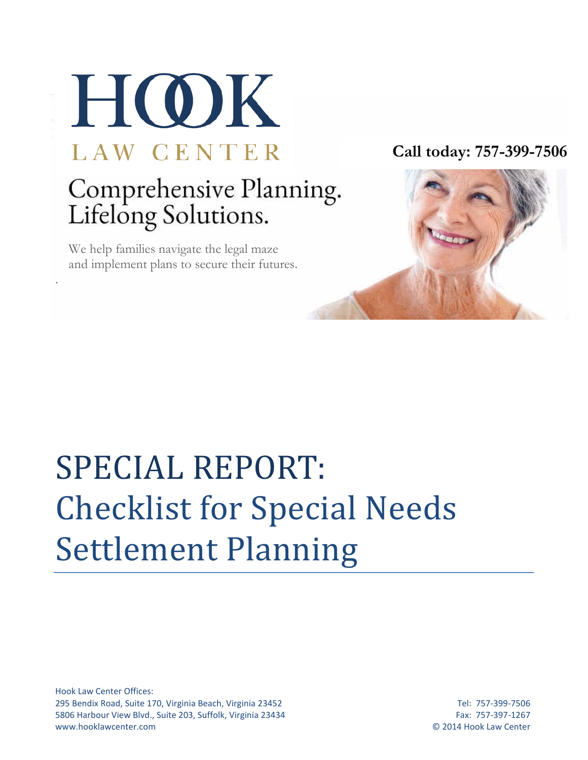

 We help families navigate the legal maze and implement plans to secure their futures.

.

**Call today: 757-399-7506**

## SPECIAL REPORT: Checklist for Special Needs Settlement Planning

Hook Law Center Offices: 295 Bendix Road, Suite 170, Virginia Beach, Virginia 23452 Tel: 757-399-7506 5806 Harbour View Blvd., Suite 203, Suffolk, Virginia 23434 Fax: 757-397-1267 www.hooklawcenter.com © 2014 Hook Law Center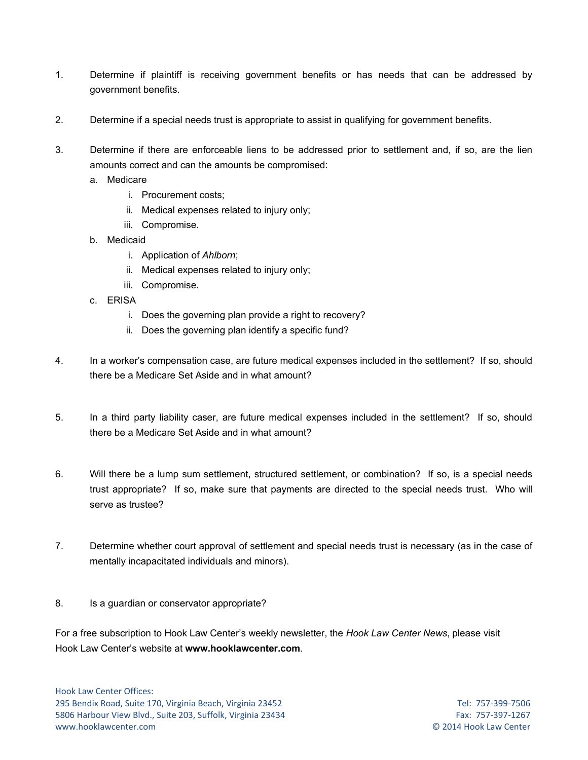- 1. Determine if plaintiff is receiving government benefits or has needs that can be addressed by government benefits.
- 2. Determine if a special needs trust is appropriate to assist in qualifying for government benefits.
- 3. Determine if there are enforceable liens to be addressed prior to settlement and, if so, are the lien amounts correct and can the amounts be compromised:
	- a. Medicare
		- i. Procurement costs;
		- ii. Medical expenses related to injury only;
		- iii. Compromise.
	- b. Medicaid
		- i. Application of *Ahlborn*;
		- ii. Medical expenses related to injury only;
		- iii. Compromise.
	- c. ERISA
		- i. Does the governing plan provide a right to recovery?
		- ii. Does the governing plan identify a specific fund?
- 4. In a worker's compensation case, are future medical expenses included in the settlement? If so, should there be a Medicare Set Aside and in what amount?
- 5. In a third party liability caser, are future medical expenses included in the settlement? If so, should there be a Medicare Set Aside and in what amount?
- 6. Will there be a lump sum settlement, structured settlement, or combination? If so, is a special needs trust appropriate? If so, make sure that payments are directed to the special needs trust. Who will serve as trustee?
- 7. Determine whether court approval of settlement and special needs trust is necessary (as in the case of mentally incapacitated individuals and minors).
- 8. Is a guardian or conservator appropriate?

For a free subscription to Hook Law Center's weekly newsletter, the *Hook Law Center News*, please visit Hook Law Center's website at **www.hooklawcenter.com**.